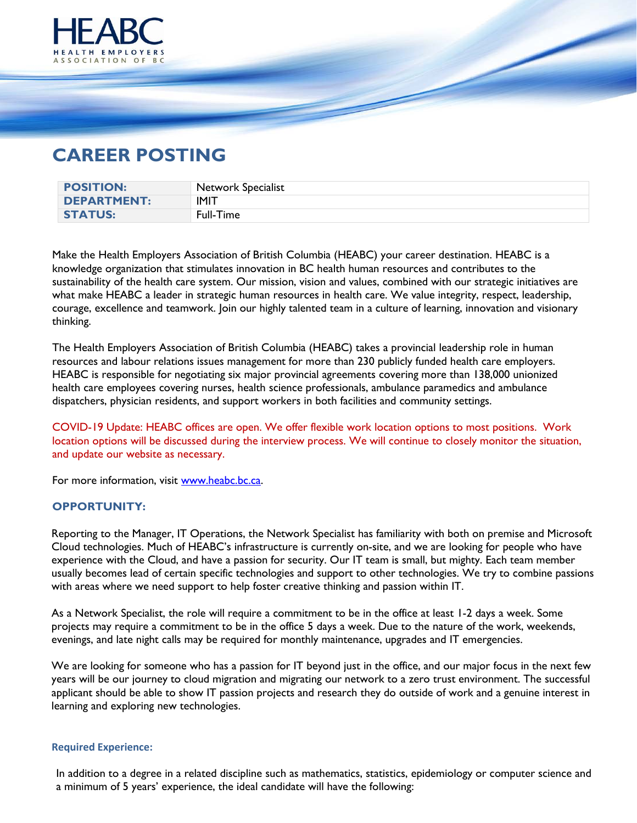

## **CAREER POSTING**

| <b>POSITION:</b>   | Network Specialist |
|--------------------|--------------------|
| <b>DEPARTMENT:</b> | <b>IMIT</b>        |
| <b>STATUS:</b>     | Full-Time          |

Make the Health Employers Association of British Columbia (HEABC) your career destination. HEABC is a knowledge organization that stimulates innovation in BC health human resources and contributes to the sustainability of the health care system. Our mission, vision and values, combined with our strategic initiatives are what make HEABC a leader in strategic human resources in health care. We value integrity, respect, leadership, courage, excellence and teamwork. Join our highly talented team in a culture of learning, innovation and visionary thinking.

The Health Employers Association of British Columbia (HEABC) takes a provincial leadership role in human resources and labour relations issues management for more than 230 publicly funded health care employers. HEABC is responsible for negotiating six major provincial agreements covering more than 138,000 unionized health care employees covering nurses, health science professionals, ambulance paramedics and ambulance dispatchers, physician residents, and support workers in both facilities and community settings.

COVID-19 Update: HEABC offices are open. We offer flexible work location options to most positions. Work location options will be discussed during the interview process. We will continue to closely monitor the situation, and update our website as necessary.

For more information, visit [www.heabc.bc.ca.](http://www.heabc.bc.ca/)

## **OPPORTUNITY:**

Reporting to the Manager, IT Operations, the Network Specialist has familiarity with both on premise and Microsoft Cloud technologies. Much of HEABC's infrastructure is currently on-site, and we are looking for people who have experience with the Cloud, and have a passion for security. Our IT team is small, but mighty. Each team member usually becomes lead of certain specific technologies and support to other technologies. We try to combine passions with areas where we need support to help foster creative thinking and passion within IT.

As a Network Specialist, the role will require a commitment to be in the office at least 1-2 days a week. Some projects may require a commitment to be in the office 5 days a week. Due to the nature of the work, weekends, evenings, and late night calls may be required for monthly maintenance, upgrades and IT emergencies.

We are looking for someone who has a passion for IT beyond just in the office, and our major focus in the next few years will be our journey to cloud migration and migrating our network to a zero trust environment. The successful applicant should be able to show IT passion projects and research they do outside of work and a genuine interest in learning and exploring new technologies.

## **Required Experience:**

In addition to a degree in a related discipline such as mathematics, statistics, epidemiology or computer science and a minimum of 5 years' experience, the ideal candidate will have the following: